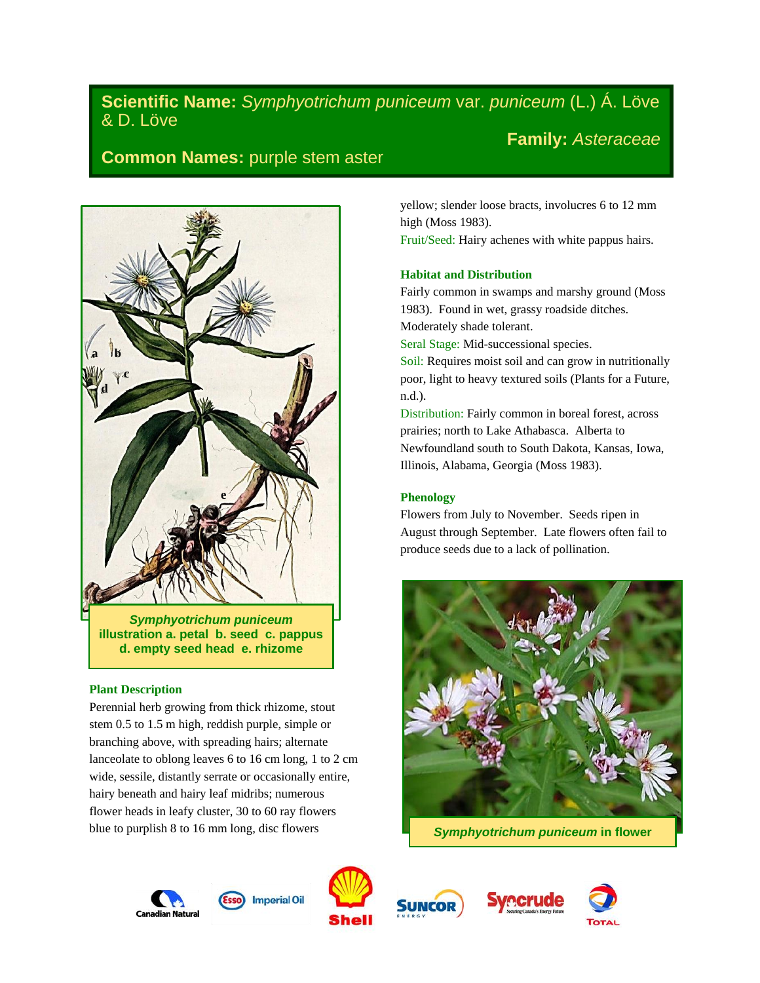# **Scientific Name:** *Symphyotrichum puniceum* var. *puniceum* (L.) Á. Löve & D. Löve **Family:** *Asteraceae*

# **Common Names:** purple stem aster



*Symphyotrichum puniceum*  **illustration a. petal b. seed c. pappus d. empty seed head e. rhizome**

## **Plant Description**

Perennial herb growing from thick rhizome, stout stem 0.5 to 1.5 m high, reddish purple, simple or branching above, with spreading hairs; alternate lanceolate to oblong leaves 6 to 16 cm long, 1 to 2 cm wide, sessile, distantly serrate or occasionally entire, hairy beneath and hairy leaf midribs; numerous flower heads in leafy cluster, 30 to 60 ray flowers blue to purplish 8 to 16 mm long, disc flowers

yellow; slender loose bracts, involucres 6 to 12 mm high (Moss 1983).

Fruit/Seed: Hairy achenes with white pappus hairs.

# **Habitat and Distribution**

Fairly common in swamps and marshy ground (Moss 1983). Found in wet, grassy roadside ditches. Moderately shade tolerant.

Seral Stage: Mid-successional species.

Soil: Requires moist soil and can grow in nutritionally poor, light to heavy textured soils (Plants for a Future, n.d.).

Distribution: Fairly common in boreal forest, across prairies; north to Lake Athabasca. Alberta to Newfoundland south to South Dakota, Kansas, Iowa, Illinois, Alabama, Georgia (Moss 1983).

# **Phenology**

Flowers from July to November. Seeds ripen in August through September. Late flowers often fail to produce seeds due to a lack of pollination.



*Symphyotrichum puniceum* **in flower**







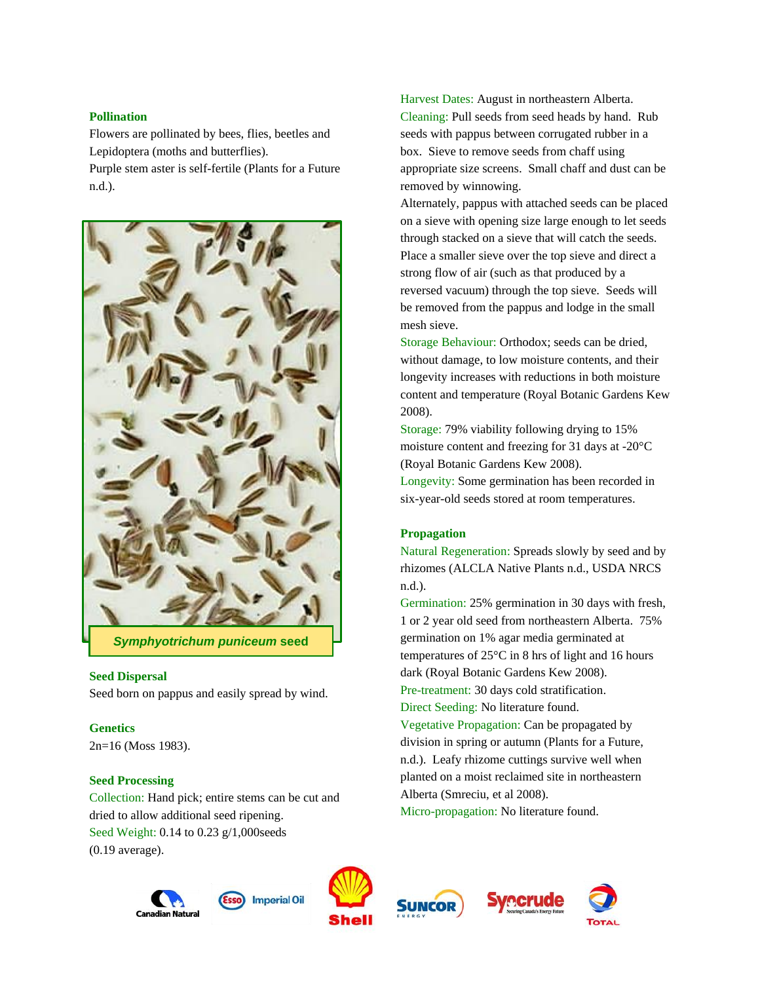## **Pollination**

Flowers are pollinated by bees, flies, beetles and Lepidoptera (moths and butterflies).

Purple stem aster is self-fertile (Plants for a Future n.d.).



*Symphyotrichum puniceum* **seed**

## **Seed Dispersal**

Seed born on pappus and easily spread by wind.

## **Genetics**

2n=16 (Moss 1983).

## **Seed Processing**

Collection: Hand pick; entire stems can be cut and dried to allow additional seed ripening. Seed Weight: 0.14 to 0.23 g/1,000seeds (0.19 average).

Harvest Dates: August in northeastern Alberta. Cleaning: Pull seeds from seed heads by hand. Rub seeds with pappus between corrugated rubber in a box. Sieve to remove seeds from chaff using appropriate size screens. Small chaff and dust can be removed by winnowing.

Alternately, pappus with attached seeds can be placed on a sieve with opening size large enough to let seeds through stacked on a sieve that will catch the seeds. Place a smaller sieve over the top sieve and direct a strong flow of air (such as that produced by a reversed vacuum) through the top sieve. Seeds will be removed from the pappus and lodge in the small mesh sieve.

Storage Behaviour: Orthodox; seeds can be dried, without damage, to low moisture contents, and their longevity increases with reductions in both moisture content and temperature (Royal Botanic Gardens Kew 2008).

Storage: 79% viability following drying to 15% moisture content and freezing for 31 days at -20°C (Royal Botanic Gardens Kew 2008).

Longevity: Some germination has been recorded in six-year-old seeds stored at room temperatures.

# **Propagation**

Natural Regeneration: Spreads slowly by seed and by rhizomes (ALCLA Native Plants n.d., USDA NRCS n.d.).

Germination: 25% germination in 30 days with fresh, 1 or 2 year old seed from northeastern Alberta. 75% germination on 1% agar media germinated at temperatures of 25°C in 8 hrs of light and 16 hours dark (Royal Botanic Gardens Kew 2008). Pre-treatment: 30 days cold stratification. Direct Seeding: No literature found. Vegetative Propagation: Can be propagated by

division in spring or autumn (Plants for a Future, n.d.). Leafy rhizome cuttings survive well when planted on a moist reclaimed site in northeastern Alberta (Smreciu, et al 2008).

Micro-propagation: No literature found.











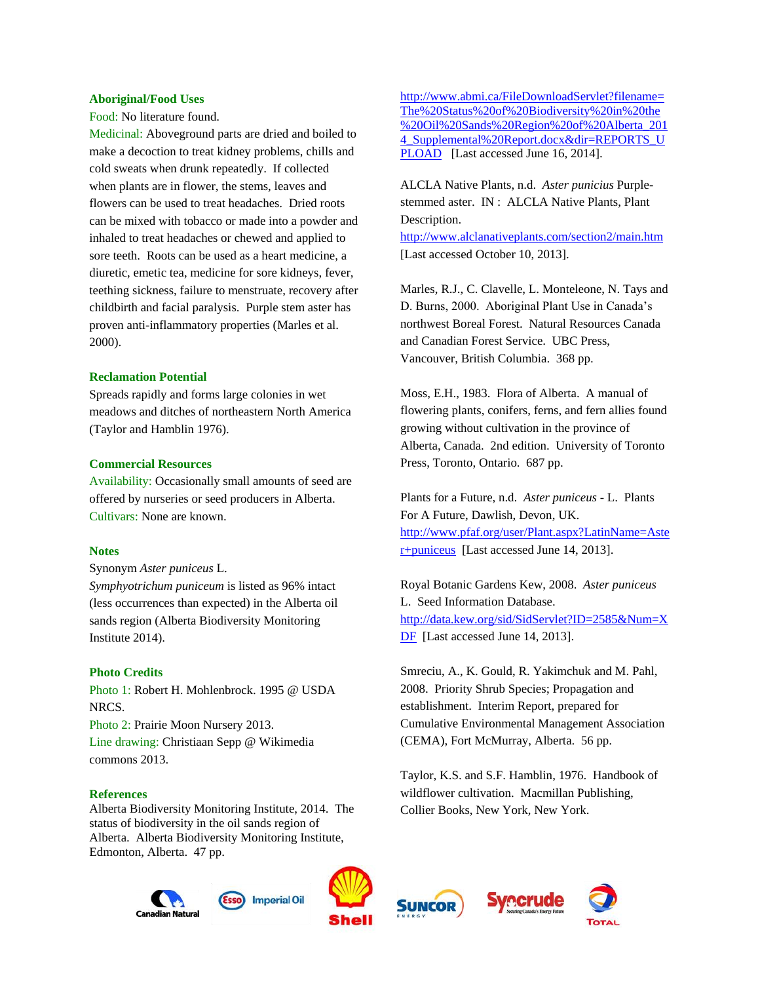#### **Aboriginal/Food Uses**

Food: No literature found.

Medicinal: Aboveground parts are dried and boiled to make a decoction to treat kidney problems, chills and cold sweats when drunk repeatedly. If collected when plants are in flower, the stems, leaves and flowers can be used to treat headaches. Dried roots can be mixed with tobacco or made into a powder and inhaled to treat headaches or chewed and applied to sore teeth. Roots can be used as a heart medicine, a diuretic, emetic tea, medicine for sore kidneys, fever, teething sickness, failure to menstruate, recovery after childbirth and facial paralysis. Purple stem aster has proven anti-inflammatory properties (Marles et al. 2000).

#### **Reclamation Potential**

Spreads rapidly and forms large colonies in wet meadows and ditches of northeastern North America (Taylor and Hamblin 1976).

#### **Commercial Resources**

Availability: Occasionally small amounts of seed are offered by nurseries or seed producers in Alberta. Cultivars: None are known.

#### **Notes**

Synonym *Aster puniceus* [L.](http://www.itis.gov/servlet/SingleRpt/RefRpt?search_type=author&search_id=author_id&search_id_value=41302)

*Symphyotrichum puniceum* is listed as 96% intact (less occurrences than expected) in the Alberta oil sands region (Alberta Biodiversity Monitoring Institute 2014).

#### **Photo Credits**

Photo 1: Robert H. Mohlenbrock. 1995 @ USDA NRCS.

Photo 2: Prairie Moon Nursery 2013.

Line drawing: Christiaan Sepp @ Wikimedia commons 2013.

#### **References**

Alberta Biodiversity Monitoring Institute, 2014. The status of biodiversity in the oil sands region of Alberta. Alberta Biodiversity Monitoring Institute, Edmonton, Alberta. 47 pp.

[http://www.abmi.ca/FileDownloadServlet?filename=](http://www.abmi.ca/FileDownloadServlet?filename=The%20Status%20of%20Biodiversity%20in%20the%20Oil%20Sands%20Region%20of%20Alberta_2014_Supplemental%20Report.docx&dir=REPORTS_UPLOAD) [The%20Status%20of%20Biodiversity%20in%20the](http://www.abmi.ca/FileDownloadServlet?filename=The%20Status%20of%20Biodiversity%20in%20the%20Oil%20Sands%20Region%20of%20Alberta_2014_Supplemental%20Report.docx&dir=REPORTS_UPLOAD) [%20Oil%20Sands%20Region%20of%20Alberta\\_201](http://www.abmi.ca/FileDownloadServlet?filename=The%20Status%20of%20Biodiversity%20in%20the%20Oil%20Sands%20Region%20of%20Alberta_2014_Supplemental%20Report.docx&dir=REPORTS_UPLOAD) 4 Supplemental%20Report.docx&dir=REPORTS\_U [PLOAD](http://www.abmi.ca/FileDownloadServlet?filename=The%20Status%20of%20Biodiversity%20in%20the%20Oil%20Sands%20Region%20of%20Alberta_2014_Supplemental%20Report.docx&dir=REPORTS_UPLOAD) [Last accessed June 16, 2014].

ALCLA Native Plants, n.d. *Aster punicius* Purplestemmed aster. IN : ALCLA Native Plants, Plant Description.

<http://www.alclanativeplants.com/section2/main.htm> [Last accessed October 10, 2013].

Marles, R.J., C. Clavelle, L. Monteleone, N. Tays and D. Burns, 2000. Aboriginal Plant Use in Canada's northwest Boreal Forest. Natural Resources Canada and Canadian Forest Service. UBC Press, Vancouver, British Columbia. 368 pp.

Moss, E.H., 1983. Flora of Alberta. A manual of flowering plants, conifers, ferns, and fern allies found growing without cultivation in the province of Alberta, Canada. 2nd edition. University of Toronto Press, Toronto, Ontario. 687 pp.

Plants for a Future, n.d. *Aster puniceus* - L. Plants For A Future, Dawlish, Devon, UK. [http://www.pfaf.org/user/Plant.aspx?LatinName=Aste](http://www.pfaf.org/user/Plant.aspx?LatinName=Aster+puniceus) [r+puniceus](http://www.pfaf.org/user/Plant.aspx?LatinName=Aster+puniceus) [Last accessed June 14, 2013].

Royal Botanic Gardens Kew, 2008. *Aster puniceus* L. Seed Information Database. [http://data.kew.org/sid/SidServlet?ID=2585&Num=X](http://data.kew.org/sid/SidServlet?ID=2585&Num=XDF) [DF](http://data.kew.org/sid/SidServlet?ID=2585&Num=XDF) [Last accessed June 14, 2013].

Smreciu, A., K. Gould, R. Yakimchuk and M. Pahl, 2008. Priority Shrub Species; Propagation and establishment. Interim Report, prepared for Cumulative Environmental Management Association (CEMA), Fort McMurray, Alberta. 56 pp.

Taylor, K.S. and S.F. Hamblin, 1976. Handbook of wildflower cultivation. Macmillan Publishing, Collier Books, New York, New York.